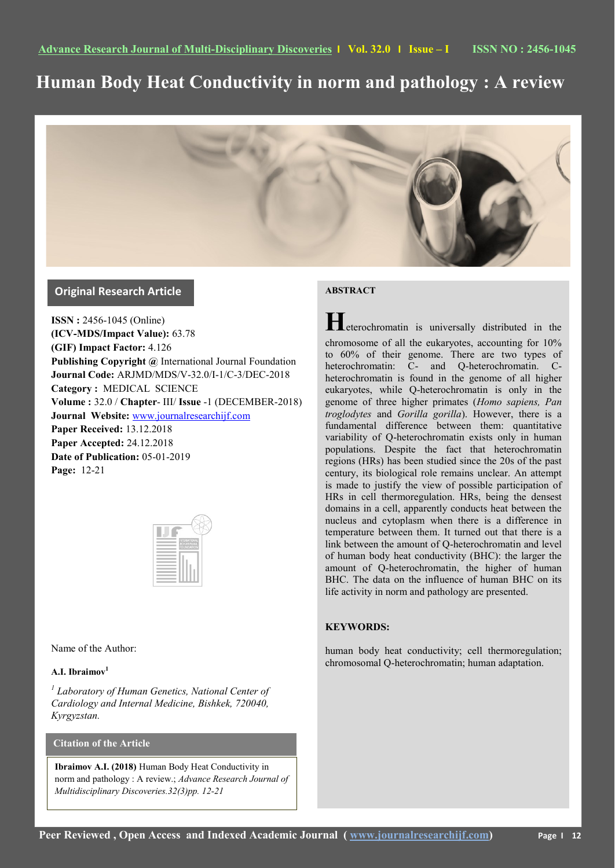# **Human Body Heat Conductivity in norm and pathology : A review**



# **Original Research Article**

**ISSN :** 2456-1045 (Online) **(ICV-MDS/Impact Value):** 63.78 **(GIF) Impact Factor:** 4.126 **Publishing Copyright @** International Journal Foundation **Journal Code:** ARJMD/MDS/V-32.0/I-1/C-3/DEC-2018 **Category :** MEDICAL SCIENCE **Volume :** 32.0 / **Chapter**- III/ **Issue** -1 (DECEMBER-2018) **Journal Website:** [www.journalresearchijf.com](http://www.journalresearchijf.com/) **Paper Received:** 13.12.2018 **Paper Accepted:** 24.12.2018 **Date of Publication:** 05-01-2019 **Page:** 12-21

|  | INTERNATIONAL<br>JOURNAL<br>FOUNDATION |  |
|--|----------------------------------------|--|
|  |                                        |  |
|  |                                        |  |
|  |                                        |  |
|  |                                        |  |
|  |                                        |  |
|  |                                        |  |
|  |                                        |  |
|  |                                        |  |

Name of the Author:

# **А.I. Ibraimov<sup>1</sup>**

*1 Laboratory of Human Genetics, National Center of Cardiology and Internal Medicine, Bishkek, 720040, Kyrgyzstan.*

## **Citation of the Article**

**Ibraimov A.I. (2018)** Human Body Heat Conductivity in norm and pathology : A review.; *Advance Research Journal of Multidisciplinary Discoveries.32(3)pp. 12-21* 

## **ABSTRACT**

**H**eterochromatin is universally distributed in the chromosome of all the eukaryotes, accounting for 10% to 60% of their genome. There are two types of heterochromatin:  $\overrightarrow{C}$  and Q-heterochromatin. Cheterochromatin is found in the genome of all higher eukaryotes, while Q-heterochromatin is only in the genome of three higher primates (*Homo sapiens, Pan troglodytes* and *Gorilla gorilla*). However, there is a fundamental difference between them: quantitative variability of Q-heterochromatin exists only in human populations. Despite the fact that heterochromatin regions (HRs) has been studied since the 20s of the past century, its biological role remains unclear. An attempt is made to justify the view of possible participation of HRs in cell thermoregulation. HRs, being the densest domains in a cell, apparently conducts heat between the nucleus and cytoplasm when there is a difference in temperature between them. It turned out that there is a link between the amount of Q-heterochromatin and level of human body heat conductivity (BHC): the larger the amount of Q-heterochromatin, the higher of human BHC. The data on the influence of human BHC on its life activity in norm and pathology are presented.

## **KEYWORDS:**

human body heat conductivity; cell thermoregulation; chromosomal Q-heterochromatin; human adaptation.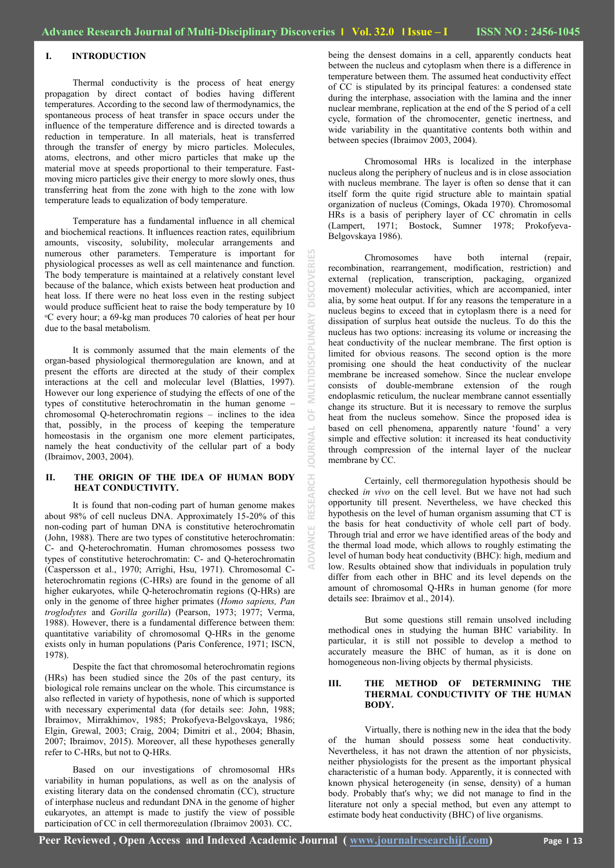#### **I. INTRODUCTION**

Thermal conductivity is the process of heat energy propagation by direct contact of bodies having different temperatures. According to the second law of thermodynamics, the spontaneous process of heat transfer in space occurs under the influence of the temperature difference and is directed towards a reduction in temperature. In all materials, heat is transferred through the transfer of energy by micro particles. Molecules, atoms, electrons, and other micro particles that make up the material move at speeds proportional to their temperature. Fastmoving micro particles give their energy to more slowly ones, thus transferring heat from the zone with high to the zone with low temperature leads to equalization of body temperature.

Temperature has a fundamental influence in all chemical and biochemical reactions. It influences reaction rates, equilibrium amounts, viscosity, solubility, molecular arrangements and numerous other parameters. Temperature is important for physiological processes as well as cell maintenance and function. The body temperature is maintained at a relatively constant level because of the balance, which exists between heat production and heat loss. If there were no heat loss even in the resting subject would produce sufficient heat to raise the body temperature by 10 ᵒC every hour; a 69-kg man produces 70 calories of heat per hour due to the basal metabolism.

It is commonly assumed that the main elements of the organ-based physiological thermoregulation are known, and at present the efforts are directed at the study of their complex interactions at the cell and molecular level (Blatties, 1997). However our long experience of studying the effects of one of the types of constitutive heterochromatin in the human genome – chromosomal Q-heterochromatin regions – inclines to the idea that, possibly, in the process of keeping the temperature homeostasis in the organism one more element participates, namely the heat conductivity of the cellular part of a body (Ibraimov, 2003, 2004).

#### **II. THE ORIGIN OF THE IDEA OF HUMAN BODY HEAT CONDUCTIVITY.**

It is found that non-coding part of human genome makes about 98% of cell nucleus DNA. Approximately 15-20% of this non-coding part of human DNA is constitutive heterochromatin (John, 1988). There are two types of constitutive heterochromatin: C- and Q-heterochromatin. Human chromosomes possess two types of constitutive heterochromatin: C- and Q-heterochromatin (Caspersson et al., 1970; Arrighi, Hsu, 1971). Chromosomal Cheterochromatin regions (C-HRs) are found in the genome of all higher eukaryotes, while Q-heterochromatin regions (Q-HRs) are only in the genome of three higher primates (*Homo sapiens, Pan troglodytes* and *Gorilla gorilla*) (Pearson, 1973; 1977; Verma, 1988). However, there is a fundamental difference between them: quantitative variability of chromosomal Q-HRs in the genome exists only in human populations (Paris Conference, 1971; ISCN, 1978).

Despite the fact that chromosomal heterochromatin regions (HRs) has been studied since the 20s of the past century, its biological role remains unclear on the whole. This circumstance is also reflected in variety of hypothesis, none of which is supported with necessary experimental data (for details see: John, 1988; Ibraimov, Mirrakhimov, 1985; Prokofyeva-Belgovskaya, 1986; Elgin, Grewal, 2003; Craig, 2004; Dimitri et al., 2004; Bhasin, 2007; Ibraimov, 2015). Moreover, all these hypotheses generally refer to C-HRs, but not to Q-HRs.

Based on our investigations of chromosomal HRs variability in human populations, as well as on the analysis of existing literary data on the condensed chromatin (CC), structure of interphase nucleus and redundant DNA in the genome of higher eukaryotes, an attempt is made to justify the view of possible participation of CC in cell thermoregulation (Ibraimov 2003). CC,

being the densest domains in a cell, apparently conducts heat between the nucleus and cytoplasm when there is a difference in temperature between them. The assumed heat conductivity effect of CC is stipulated by its principal features: a condensed state during the interphase, association with the lamina and the inner nuclear membrane, replication at the end of the S period of a cell cycle, formation of the chromocenter, genetic inertness, and wide variability in the quantitative contents both within and between species (Ibraimov 2003, 2004).

Chromosomal HRs is localized in the interphase nucleus along the periphery of nucleus and is in close association with nucleus membrane. The layer is often so dense that it can itself form the quite rigid structure able to maintain spatial organization of nucleus (Comings, Okada 1970). Chromosomal HRs is a basis of periphery layer of CC chromatin in cells (Lampert, 1971; Bostock, Sumner 1978; Prokofyeva-Belgovskaya 1986).

Chromosomes have both internal (repair, recombination, rearrangement, modification, restriction) and external (replication, transcription, packaging, organized movement) molecular activities, which are accompanied, inter alia, by some heat output. If for any reasons the temperature in a nucleus begins to exceed that in cytoplasm there is a need for dissipation of surplus heat outside the nucleus. To do this the nucleus has two options: increasing its volume or increasing the heat conductivity of the nuclear membrane. The first option is limited for obvious reasons. The second option is the more promising one should the heat conductivity of the nuclear membrane be increased somehow. Since the nuclear envelope consists of double-membrane extension of the rough endoplasmic reticulum, the nuclear membrane cannot essentially change its structure. But it is necessary to remove the surplus heat from the nucleus somehow. Since the proposed idea is based on cell phenomena, apparently nature 'found' a very simple and effective solution: it increased its heat conductivity through compression of the internal layer of the nuclear membrane by CC.

Certainly, cell thermoregulation hypothesis should be checked *in vivo* on the cell level. But we have not had such opportunity till present. Nevertheless, we have checked this hypothesis on the level of human organism assuming that CT is the basis for heat conductivity of whole cell part of body. Through trial and error we have identified areas of the body and the thermal load mode, which allows to roughly estimating the level of human body heat conductivity (BHC): high, medium and low. Results obtained show that individuals in population truly differ from each other in BHC and its level depends on the amount of chromosomal Q-HRs in human genome (for more details see: Ibraimov et al., 2014).

But some questions still remain unsolved including methodical ones in studying the human BHC variability. In particular, it is still not possible to develop a method to accurately measure the BHC of human, as it is done on homogeneous non-living objects by thermal physicists.

## **III. THE METHOD OF DETERMINING THE THERMAL CONDUCTIVITY OF THE HUMAN BODY.**

Virtually, there is nothing new in the idea that the body of the human should possess some heat conductivity. Nevertheless, it has not drawn the attention of nor physicists, neither physiologists for the present as the important physical characteristic of a human body. Apparently, it is connected with known physical heterogeneity (in sense, density) of a human body. Probably that's why; we did not manage to find in the literature not only a special method, but even any attempt to estimate body heat conductivity (BHC) of live organisms.

**ADVANCE RESEARCH JOURNAL OF MULTIDISCIPLINARY DISCOVERIES**

 $\supseteq$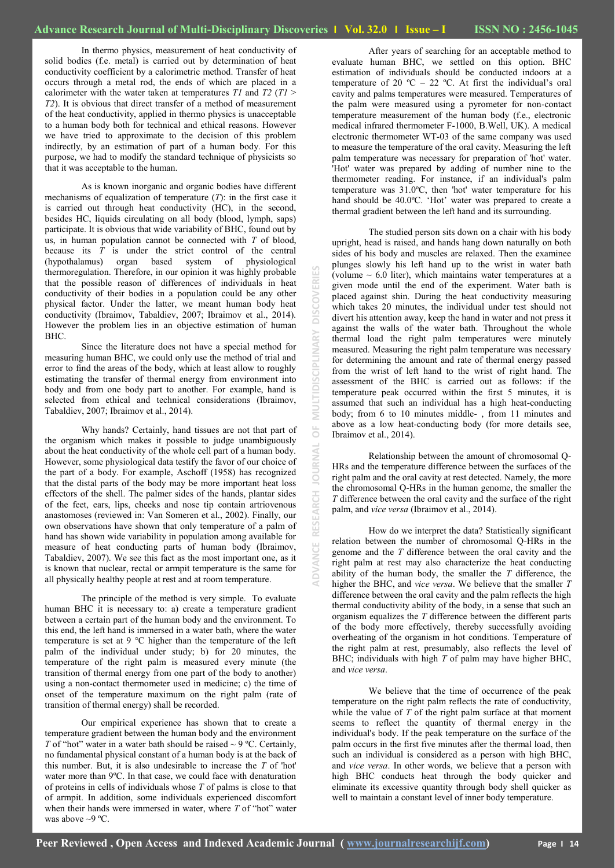$\overline{0}$ 

**JOURNAL** 

RESEARCH

MULTIDISCIPLINARY

**DISCOVERIES** 

In thermo physics, measurement of heat conductivity of solid bodies (f.e. metal) is carried out by determination of heat conductivity coefficient by a calorimetric method. Transfer of heat occurs through a metal rod, the ends of which are placed in a calorimeter with the water taken at temperatures *T1* and *T2* (*T1* > *T2*). It is obvious that direct transfer of a method of measurement of the heat conductivity, applied in thermo physics is unacceptable to a human body both for technical and ethical reasons. However we have tried to approximate to the decision of this problem indirectly, by an estimation of part of a human body. For this purpose, we had to modify the standard technique of physicists so that it was acceptable to the human.

As is known inorganic and organic bodies have different mechanisms of equalization of temperature (*T*): in the first case it is carried out through heat conductivity (HC), in the second, besides HC, liquids circulating on all body (blood, lymph, saps) participate. It is obvious that wide variability of BHC, found out by us, in human population cannot be connected with *T* of blood, because its *T* is under the strict control of the central (hypothalamus) organ based system of physiological thermoregulation. Therefore, in our opinion it was highly probable that the possible reason of differences of individuals in heat conductivity of their bodies in a population could be any other physical factor. Under the latter, we meant human body heat conductivity (Ibraimov, Tabaldiev, 2007; Ibraimov et al., 2014). However the problem lies in an objective estimation of human BHC.

Since the literature does not have a special method for measuring human BHC, we could only use the method of trial and error to find the areas of the body, which at least allow to roughly estimating the transfer of thermal energy from environment into body and from one body part to another. For example, hand is selected from ethical and technical considerations (Ibraimov, Tabaldiev, 2007; Ibraimov et al., 2014).

Why hands? Certainly, hand tissues are not that part of the organism which makes it possible to judge unambiguously about the heat conductivity of the whole cell part of a human body. However, some physiological data testify the favor of our choice of the part of a body. For example, Aschoff (1958) has recognized that the distal parts of the body may be more important heat loss effectors of the shell. The palmer sides of the hands, plantar sides of the feet, ears, lips, cheeks and nose tip contain artriovenous anastomoses (reviewed in: Van Someren et al., 2002). Finally, our own observations have shown that only temperature of a palm of hand has shown wide variability in population among available for measure of heat conducting parts of human body (Ibraimov, Tabaldiev, 2007). We see this fact as the most important one, as it is known that nuclear, rectal or armpit temperature is the same for all physically healthy people at rest and at room temperature.

The principle of the method is very simple. To evaluate human BHC it is necessary to: a) create a temperature gradient between a certain part of the human body and the environment. To this end, the left hand is immersed in a water bath, where the water temperature is set at 9 °C higher than the temperature of the left palm of the individual under study; b) for 20 minutes, the temperature of the right palm is measured every minute (the transition of thermal energy from one part of the body to another) using a non-contact thermometer used in medicine; c) the time of onset of the temperature maximum on the right palm (rate of transition of thermal energy) shall be recorded.

Our empirical experience has shown that to create a temperature gradient between the human body and the environment *T* of "hot" water in a water bath should be raised  $\sim$  9 °C. Certainly, no fundamental physical constant of a human body is at the back of this number. But, it is also undesirable to increase the *T* of 'hot' water more than 9°C. In that case, we could face with denaturation of proteins in cells of individuals whose *T* of palms is close to that of armpit. In addition, some individuals experienced discomfort when their hands were immersed in water, where *T* of "hot" water was above  $\sim$ 9 °C.

After years of searching for an acceptable method to evaluate human BHC, we settled on this option. BHC estimation of individuals should be conducted indoors at a temperature of 20  $^{\circ}$ C – 22  $^{\circ}$ C. At first the individual's oral cavity and palms temperatures were measured. Temperatures of the palm were measured using a pyrometer for non-contact temperature measurement of the human body (f.e., electronic medical infrared thermometer F-1000, B.Well, UK). A medical electronic thermometer WT-03 of the same company was used to measure the temperature of the oral cavity. Measuring the left palm temperature was necessary for preparation of 'hot' water. 'Hot' water was prepared by adding of number nine to the thermometer reading. For instance, if an individual's palm temperature was 31.0ºC, then 'hot' water temperature for his hand should be 40.0°C. 'Hot' water was prepared to create a thermal gradient between the left hand and its surrounding.

The studied person sits down on a chair with his body upright, head is raised, and hands hang down naturally on both sides of his body and muscles are relaxed. Then the examinee plunges slowly his left hand up to the wrist in water bath (volume  $\sim 6.0$  liter), which maintains water temperatures at a given mode until the end of the experiment. Water bath is placed against shin. During the heat conductivity measuring which takes 20 minutes, the individual under test should not divert his attention away, keep the hand in water and not press it against the walls of the water bath. Throughout the whole thermal load the right palm temperatures were minutely measured. Measuring the right palm temperature was necessary for determining the amount and rate of thermal energy passed from the wrist of left hand to the wrist of right hand. The assessment of the BHC is carried out as follows: if the temperature peak occurred within the first 5 minutes, it is assumed that such an individual has a high heat-conducting body; from 6 to 10 minutes middle- , from 11 minutes and above as a low heat-conducting body (for more details see, Ibraimov et al., 2014).

Relationship between the amount of chromosomal Q-HRs and the temperature difference between the surfaces of the right palm and the oral cavity at rest detected. Namely, the more the chromosomal Q-HRs in the human genome, the smaller the *T* difference between the oral cavity and the surface of the right palm, and *vice versa* (Ibraimov et al., 2014).

How do we interpret the data? Statistically significant relation between the number of chromosomal Q-HRs in the genome and the *T* difference between the oral cavity and the right palm at rest may also characterize the heat conducting ability of the human body, the smaller the *T* difference, the higher the BHC, and *vice versa*. We believe that the smaller *T*  difference between the oral cavity and the palm reflects the high thermal conductivity ability of the body, in a sense that such an organism equalizes the *T* difference between the different parts of the body more effectively, thereby successfully avoiding overheating of the organism in hot conditions. Temperature of the right palm at rest, presumably, also reflects the level of BHC; individuals with high *T* of palm may have higher BHC, and *vice versa*.

We believe that the time of occurrence of the peak temperature on the right palm reflects the rate of conductivity, while the value of *T* of the right palm surface at that moment seems to reflect the quantity of thermal energy in the individual's body. If the peak temperature on the surface of the palm occurs in the first five minutes after the thermal load, then such an individual is considered as a person with high BHC, and *vice versa*. In other words, we believe that a person with high BHC conducts heat through the body quicker and eliminate its excessive quantity through body shell quicker as well to maintain a constant level of inner body temperature.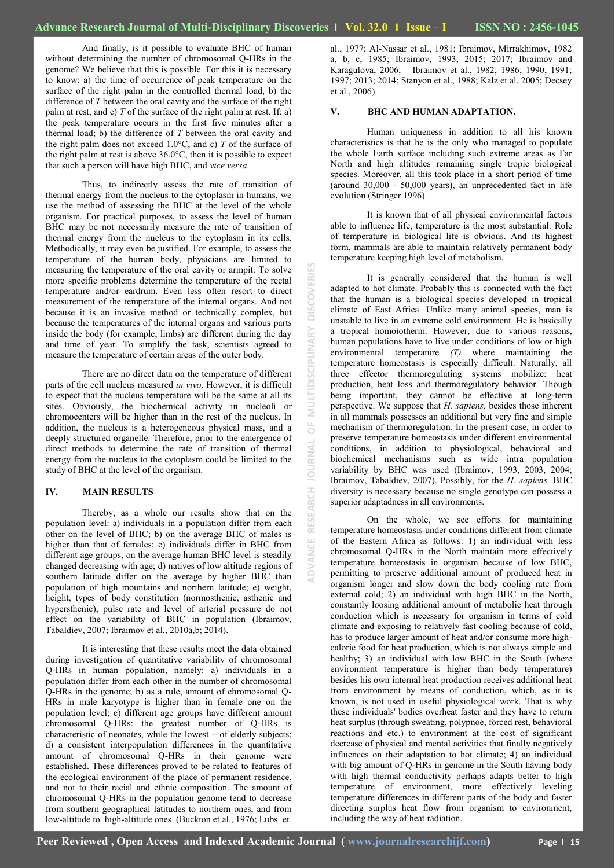ŏ

RNAL ion<br>D

RESEARCH

ā

 $\geqslant$ 

ā

And finally, is it possible to evaluate BHC of human without determining the number of chromosomal Q-HRs in the genome? We believe that this is possible. For this it is necessary to know: a) the time of occurrence of peak temperature on the surface of the right palm in the controlled thermal load, b) the difference of *T* between the oral cavity and the surface of the right palm at rest, and c) *T* of the surface of the right palm at rest. If: a) the peak temperature occurs in the first five minutes after a thermal load; b) the difference of *T* between the oral cavity and the right palm does not exceed  $1.0^{\circ}$ C, and c) *T* of the surface of the right palm at rest is above 36.0°C, then it is possible to expect that such a person will have high BHC, and *vice versa*.

Thus, to indirectly assess the rate of transition of thermal energy from the nucleus to the cytoplasm in humans, we use the method of assessing the BHC at the level of the whole organism. For practical purposes, to assess the level of human BHC may be not necessarily measure the rate of transition of thermal energy from the nucleus to the cytoplasm in its cells. Methodically, it may even be justified. For example, to assess the temperature of the human body, physicians are limited to measuring the temperature of the oral cavity or armpit. To solve more specific problems determine the temperature of the rectal temperature and/or eardrum. Even less often resort to direct measurement of the temperature of the internal organs. And not because it is an invasive method or technically complex, but because the temperatures of the internal organs and various parts inside the body (for example, limbs) are different during the day and time of year. To simplify the task, scientists agreed to measure the temperature of certain areas of the outer body.

There are no direct data on the temperature of different parts of the cell nucleus measured *in vivo*. However, it is difficult to expect that the nucleus temperature will be the same at all its sites. Obviously, the biochemical activity in nucleoli or chromocenters will be higher than in the rest of the nucleus. In addition, the nucleus is a heterogeneous physical mass, and a deeply structured organelle. Therefore, prior to the emergence of direct methods to determine the rate of transition of thermal energy from the nucleus to the cytoplasm could be limited to the study of BHC at the level of the organism.

## **IV. MAIN RESULTS**

Thereby, as a whole our results show that on the population level: a) individuals in a population differ from each other on the level of BHC; b) on the average BHC of males is higher than that of females; c) individuals differ in BHC from different age groups, on the average human BHC level is steadily changed decreasing with age; d) natives of low altitude regions of southern latitude differ on the average by higher BHC than population of high mountains and northern latitude; e) weight, height, types of body constitution (normosthenic, asthenic and hypersthenic), pulse rate and level of arterial pressure do not effect on the variability of BHC in population (Ibraimov, Tabaldiev, 2007; Ibraimov et al., 2010a,b; 2014).

It is interesting that these results meet the data obtained during investigation of quantitative variability of chromosomal Q-HRs in human population, namely: a) individuals in a population differ from each other in the number of chromosomal Q-HRs in the genome; b) as a rule, amount of chromosomal Q-HRs in male karyotype is higher than in female one on the population level; c) different age groups have different amount chromosomal Q-HRs: the greatest number of Q-HRs is characteristic of neonates, while the lowest – of elderly subjects; d) a consistent interpopulation differences in the quantitative amount of chromosomal Q-HRs in their genome were established. These differences proved to be related to features of the ecological environment of the place of permanent residence, and not to their racial and ethnic composition. The amount of chromosomal Q-HRs in the population genome tend to decrease from southern geographical latitudes to northern ones, and from low-altitude to high-altitude ones (Buckton et al., 1976; Lubs et

al., 1977; Al-Nassar et al., 1981; Ibraimov, Mirrakhimov, 1982 a, b, c; 1985; Ibraimov, 1993; 2015; 2017; Ibraimov and Karagulova, 2006; Ibraimov et al., 1982; 1986; 1990; 1991; 1997; 2013; 2014; Stanyon et al., 1988; Kalz et al. 2005; Decsey et al., 2006).

#### **V. BHC AND HUMAN ADAPTATION.**

Human uniqueness in addition to all his known characteristics is that he is the only who managed to populate the whole Earth surface including such extreme areas as Far North and high altitudes remaining single tropic biological species. Moreover, all this took place in a short period of time (around 30,000 - 50,000 years), an unprecedented fact in life evolution (Stringer 1996).

It is known that of all physical environmental factors able to influence life, temperature is the most substantial. Role of temperature in biological life is obvious. And its highest form, mammals are able to maintain relatively permanent body temperature keeping high level of metabolism.

It is generally considered that the human is well adapted to hot climate. Probably this is connected with the fact that the human is a biological species developed in tropical climate of East Africa. Unlike many animal species, man is unstable to live in an extreme cold environment. He is basically a tropical homoiotherm. However, due to various reasons, human populations have to live under conditions of low or high environmental temperature *(T)* where maintaining the temperature homeostasis is especially difficult. Naturally, all three effector thermoregulating systems mobilize: heat production, heat loss and thermoregulatory behavior. Though being important, they cannot be effective at long-term perspective. We suppose that *H. sapiens,* besides those inherent in all mammals possesses an additional but very fine and simple mechanism of thermoregulation. In the present case, in order to preserve temperature homeostasis under different environmental conditions, in addition to physiological, behavioral and biochemical mechanisms such as wide intra population variability by BHC was used (Ibraimov, 1993, 2003, 2004; Ibraimov, Tabaldiev, 2007). Possibly, for the *H. sapiens,* BHC diversity is necessary because no single genotype can possess a superior adaptadness in all environments.

On the whole, we see efforts for maintaining temperature homeostasis under conditions different from climate of the Eastern Africa as follows: 1) an individual with less chromosomal Q-HRs in the North maintain more effectively temperature homeostasis in organism because of low BHC, permitting to preserve additional amount of produced heat in organism longer and slow down the body cooling rate from external cold; 2) an individual with high BHC in the North, constantly loosing additional amount of metabolic heat through conduction which is necessary for organism in terms of cold climate and exposing to relatively fast cooling because of cold, has to produce larger amount of heat and/or consume more highcalorie food for heat production, which is not always simple and healthy; 3) an individual with low BHC in the South (where environment temperature is higher than body temperature) besides his own internal heat production receives additional heat from environment by means of conduction, which, as it is known, is not used in useful physiological work. That is why these individuals' bodies overheat faster and they have to return heat surplus (through sweating, polypnoe, forced rest, behavioral reactions and etc.) to environment at the cost of significant decrease of physical and mental activities that finally negatively influences on their adaptation to hot climate; 4) an individual with big amount of Q-HRs in genome in the South having body with high thermal conductivity perhaps adapts better to high temperature of environment, more effectively leveling temperature differences in different parts of the body and faster directing surplus heat flow from organism to environment, including the way of heat radiation.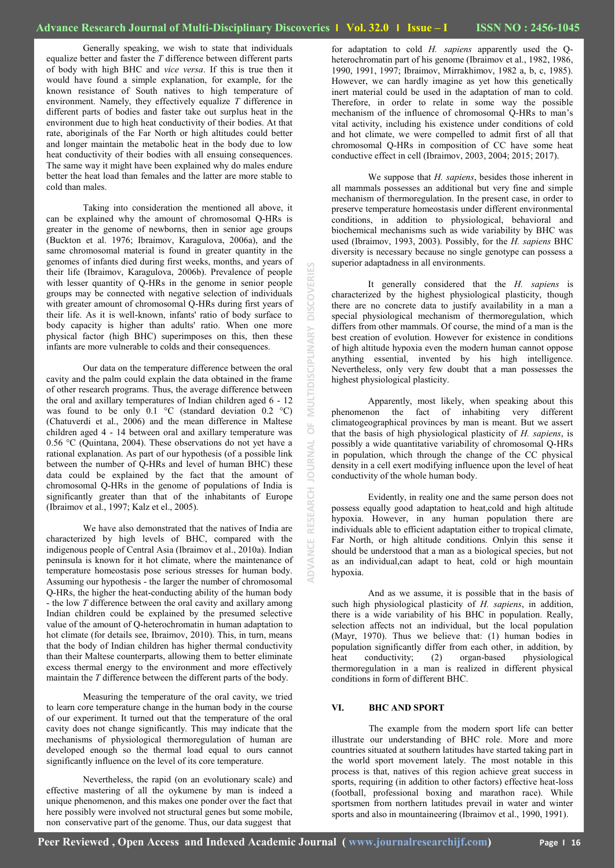$\overline{0}$ 

JOURNAL

RESEARCH

**ADVANCE** 

0<br>2<br>2

**MULTIDISCIPLINARY** 

Generally speaking, we wish to state that individuals equalize better and faster the *T* difference between different parts of body with high BHC and *vice versa*. If this is true then it would have found a simple explanation, for example, for the known resistance of South natives to high temperature of environment. Namely, they effectively equalize *T* difference in different parts of bodies and faster take out surplus heat in the environment due to high heat conductivity of their bodies. At that rate, aboriginals of the Far North or high altitudes could better and longer maintain the metabolic heat in the body due to low heat conductivity of their bodies with all ensuing consequences. The same way it might have been explained why do males endure better the heat load than females and the latter are more stable to cold than males.

Taking into consideration the mentioned all above, it can be explained why the amount of chromosomal Q-HRs is greater in the genome of newborns, then in senior age groups (Buckton et al. 1976; Ibraimov, Karagulova, 2006a), and the same chromosomal material is found in greater quantity in the genomes of infants died during first weeks, months, and years of their life (Ibraimov, Karagulova, 2006b). Prevalence of people with lesser quantity of Q-HRs in the genome in senior people groups may be connected with negative selection of individuals with greater amount of chromosomal O-HRs during first years of their life. As it is well-known, infants' ratio of body surface to body capacity is higher than adults' ratio. When one more physical factor (high BHC) superimposes on this, then these infants are more vulnerable to colds and their consequences.

Our data on the temperature difference between the oral cavity and the palm could explain the data obtained in the frame of other research programs. Thus, the average difference between the oral and axillary temperatures of Indian children aged 6 - 12 was found to be only  $0.1 \degree$ C (standard deviation  $0.2 \degree$ C) (Chatuverdi et al., 2006) and the mean difference in Maltese children aged 4 - 14 between oral and axillary temperature was 0.56 °C (Quintana, 2004). These observations do not yet have a rational explanation. As part of our hypothesis (of a possible link between the number of Q-HRs and level of human BHC) these data could be explained by the fact that the amount of chromosomal Q-HRs in the genome of populations of India is significantly greater than that of the inhabitants of Europe (Ibraimov et al., 1997; Kalz et el., 2005).

We have also demonstrated that the natives of India are characterized by high levels of BHC, compared with the indigenous people of Central Asia (Ibraimov et al., 2010a). Indian peninsula is known for it hot climate, where the maintenance of temperature homeostasis pose serious stresses for human body. Assuming our hypothesis - the larger the number of chromosomal Q-HRs, the higher the heat-conducting ability of the human body - the low *T* difference between the oral cavity and axillary among Indian children could be explained by the presumed selective value of the amount of Q-heterochromatin in human adaptation to hot climate (for details see, Ibraimov, 2010). This, in turn, means that the body of Indian children has higher thermal conductivity than their Maltese counterparts, allowing them to better eliminate excess thermal energy to the environment and more effectively maintain the *T* difference between the different parts of the body.

Measuring the temperature of the oral cavity, we tried to learn core temperature change in the human body in the course of our experiment. It turned out that the temperature of the oral cavity does not change significantly. This may indicate that the mechanisms of physiological thermoregulation of human are developed enough so the thermal load equal to ours cannot significantly influence on the level of its core temperature.

Nevertheless, the rapid (on an evolutionary scale) and effective mastering of all the oykumene by man is indeed a unique phenomenon, and this makes one ponder over the fact that here possibly were involved not structural genes but some mobile, non conservative part of the genome. Thus, our data suggest that

for adaptation to cold *H. sapiens* apparently used the Qheterochromatin part of his genome (Ibraimov et al., 1982, 1986, 1990, 1991, 1997; Ibraimov, Mirrakhimov, 1982 a, b, c, 1985). However, we can hardly imagine as yet how this genetically inert material could be used in the adaptation of man to cold. Therefore, in order to relate in some way the possible mechanism of the influence of chromosomal O-HRs to man's vital activity, including his existence under conditions of cold and hot climate, we were compelled to admit first of all that chromosomal Q-HRs in composition of CC have some heat conductive effect in cell (Ibraimov, 2003, 2004; 2015; 2017).

We suppose that *H. sapiens*, besides those inherent in all mammals possesses an additional but very fine and simple mechanism of thermoregulation. In the present case, in order to preserve temperature homeostasis under different environmental conditions, in addition to physiological, behavioral and biochemical mechanisms such as wide variability by BHC was used (Ibraimov, 1993, 2003). Possibly, for the *H. sapiens* BHC diversity is necessary because no single genotype can possess a superior adaptadness in all environments.

It generally considered that the *H. sapiens* is characterized by the highest physiological plasticity, though there are no concrete data to justify availability in a man a special physiological mechanism of thermoregulation, which differs from other mammals. Of course, the mind of a man is the best creation of evolution. However for existence in conditions of high altitude hypoxia even the modern human cannot oppose anything essential, invented by his high intelligence. Nevertheless, only very few doubt that a man possesses the highest physiological plasticity.

Apparently, most likely, when speaking about this phenomenon the fact of inhabiting very different climatogeographical provinces by man is meant. But we assert that the basis of high physiological plasticity of *H. sapiens*, is possibly a wide quantitative variability of chromosomal Q-HRs in population, which through the change of the CC physical density in a cell exert modifying influence upon the level of heat conductivity of the whole human body.

Evidently, in reality one and the same person does not possess equally good adaptation to heat,cold and high altitude hypoxia. However, in any human population there are individuals able to efficient adaptation either to tropical climate, Far North, or high altitude conditions. Onlyin this sense it should be understood that a man as a biological species, but not as an individual,can adapt to heat, cold or high mountain hypoxia.

And as we assume, it is possible that in the basis of such high physiological plasticity of *H. sapiens*, in addition, there is a wide variability of his BHC in population. Really, selection affects not an individual, but the local population (Mayr, 1970). Thus we believe that: (1) human bodies in population significantly differ from each other, in addition, by heat conductivity; (2) organ-based physiological heat conductivity; (2) organ-based thermoregulation in a man is realized in different physical conditions in form of different BHC.

## **VI. BHC AND SPORT**

The example from the modern sport life can better illustrate our understanding of BHC role. More and more countries situated at southern latitudes have started taking part in the world sport movement lately. The most notable in this process is that, natives of this region achieve great success in sports, requiring (in addition to other factors) effective heat-loss (football, professional boxing and marathon race). While sportsmen from northern latitudes prevail in water and winter sports and also in mountaineering (Ibraimov et al., 1990, 1991).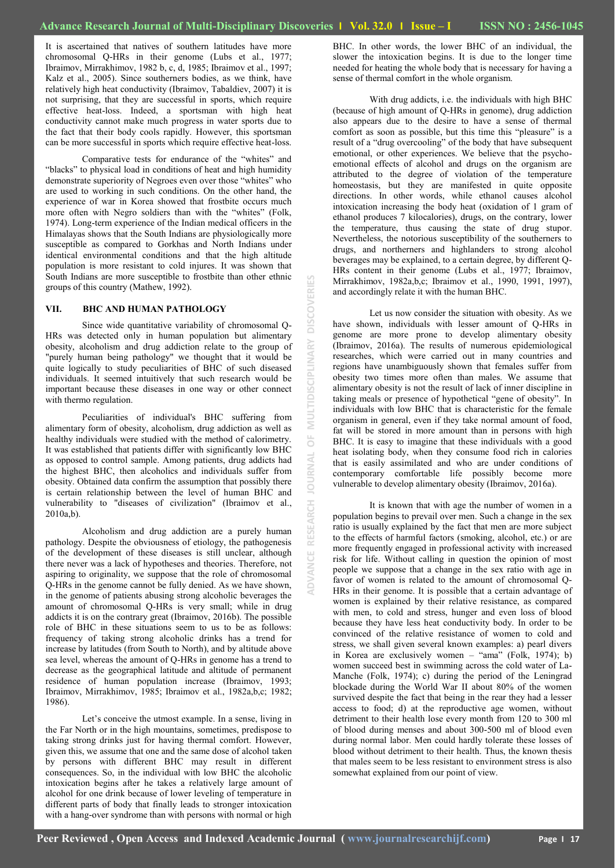It is ascertained that natives of southern latitudes have more chromosomal Q-HRs in their genome (Lubs et al., 1977; Ibraimov, Mirrakhimov, 1982 b, c, d, 1985; Ibraimov et al., 1997; Kalz et al., 2005). Since southerners bodies, as we think, have relatively high heat conductivity (Ibraimov, Tabaldiev, 2007) it is not surprising, that they are successful in sports, which require effective heat-loss. Indeed, a sportsman with high heat conductivity cannot make much progress in water sports due to the fact that their body cools rapidly. However, this sportsman can be more successful in sports which require effective heat-loss.

Comparative tests for endurance of the "whites" and "blacks" to physical load in conditions of heat and high humidity demonstrate superiority of Negroes even over those "whites" who are used to working in such conditions. On the other hand, the experience of war in Korea showed that frostbite occurs much more often with Negro soldiers than with the "whites" (Folk, 1974). Long-term experience of the Indian medical officers in the Himalayas shows that the South Indians are physiologically more susceptible as compared to Gorkhas and North Indians under identical environmental conditions and that the high altitude population is more resistant to cold injures. It was shown that South Indians are more susceptible to frostbite than other ethnic groups of this country (Mathew, 1992).

#### **VII. BHC AND HUMAN PATHOLOGY**

Since wide quantitative variability of chromosomal Q-HRs was detected only in human population but alimentary obesity, alcoholism and drug addiction relate to the group of "purely human being pathology" we thought that it would be quite logically to study peculiarities of BHC of such diseased individuals. It seemed intuitively that such research would be important because these diseases in one way or other connect with thermo regulation.

Peculiarities of individual's BHC suffering from alimentary form of obesity, alcoholism, drug addiction as well as healthy individuals were studied with the method of calorimetry. It was established that patients differ with significantly low BHC as opposed to control sample. Among patients, drug addicts had the highest BHC, then alcoholics and individuals suffer from obesity. Obtained data confirm the assumption that possibly there is certain relationship between the level of human BHC and vulnerability to "diseases of civilization" (Ibraimov et al., 2010a,b).

Alcoholism and drug addiction are a purely human pathology. Despite the obviousness of etiology, the pathogenesis of the development of these diseases is still unclear, although there never was a lack of hypotheses and theories. Therefore, not aspiring to originality, we suppose that the role of chromosomal Q-HRs in the genome cannot be fully denied. As we have shown, in the genome of patients abusing strong alcoholic beverages the amount of chromosomal Q-HRs is very small; while in drug addicts it is on the contrary great (Ibraimov, 2016b). The possible role of BHC in these situations seem to us to be as follows: frequency of taking strong alcoholic drinks has a trend for increase by latitudes (from South to North), and by altitude above sea level, whereas the amount of Q-HRs in genome has a trend to decrease as the geographical latitude and altitude of permanent residence of human population increase (Ibraimov, 1993; Ibraimov, Mirrakhimov, 1985; Ibraimov et al., 1982a,b,c; 1982; 1986).

Let's conceive the utmost example. In a sense, living in the Far North or in the high mountains, sometimes, predispose to taking strong drinks just for having thermal comfort. However, given this, we assume that one and the same dose of alcohol taken by persons with different BHC may result in different consequences. So, in the individual with low BHC the alcoholic intoxication begins after he takes a relatively large amount of alcohol for one drink because of lower leveling of temperature in different parts of body that finally leads to stronger intoxication with a hang-over syndrome than with persons with normal or high

BHC. In other words, the lower BHC of an individual, the slower the intoxication begins. It is due to the longer time needed for heating the whole body that is necessary for having a sense of thermal comfort in the whole organism.

With drug addicts, i.e. the individuals with high BHC (because of high amount of Q-HRs in genome), drug addiction also appears due to the desire to have a sense of thermal comfort as soon as possible, but this time this "pleasure" is a result of a "drug overcooling" of the body that have subsequent emotional, or other experiences. We believe that the psychoemotional effects of alcohol and drugs on the organism are attributed to the degree of violation of the temperature homeostasis, but they are manifested in quite opposite directions. In other words, while ethanol causes alcohol intoxication increasing the body heat (oxidation of 1 gram of ethanol produces 7 kilocalories), drugs, on the contrary, lower the temperature, thus causing the state of drug stupor. Nevertheless, the notorious susceptibility of the southerners to drugs, and northerners and highlanders to strong alcohol beverages may be explained, to a certain degree, by different Q-HRs content in their genome (Lubs et al., 1977; Ibraimov, Mirrakhimov, 1982a,b,c; Ibraimov et al., 1990, 1991, 1997), and accordingly relate it with the human BHC.

Let us now consider the situation with obesity. As we have shown, individuals with lesser amount of Q-HRs in genome are more prone to develop alimentary obesity (Ibraimov, 2016a). The results of numerous epidemiological researches, which were carried out in many countries and regions have unambiguously shown that females suffer from obesity two times more often than males. We assume that alimentary obesity is not the result of lack of inner discipline in taking meals or presence of hypothetical "gene of obesity". In individuals with low BHC that is characteristic for the female organism in general, even if they take normal amount of food, fat will be stored in more amount than in persons with high BHC. It is easy to imagine that these individuals with a good heat isolating body, when they consume food rich in calories that is easily assimilated and who are under conditions of contemporary comfortable life possibly become more vulnerable to develop alimentary obesity (Ibraimov, 2016a).

It is known that with age the number of women in a population begins to prevail over men. Such a change in the sex ratio is usually explained by the fact that men are more subject to the effects of harmful factors (smoking, alcohol, etc.) or are more frequently engaged in professional activity with increased risk for life. Without calling in question the opinion of most people we suppose that a change in the sex ratio with age in favor of women is related to the amount of chromosomal Q-HRs in their genome. It is possible that a certain advantage of women is explained by their relative resistance, as compared with men, to cold and stress, hunger and even loss of blood because they have less heat conductivity body. In order to be convinced of the relative resistance of women to cold and stress, we shall given several known examples: a) pearl divers in Korea are exclusively women – "ama" (Folk, 1974); b) women succeed best in swimming across the cold water of La-Manche (Folk, 1974); c) during the period of the Leningrad blockade during the World War II about 80% of the women survived despite the fact that being in the rear they had a lesser access to food; d) at the reproductive age women, without detriment to their health lose every month from 120 to 300 ml of blood during menses and about 300-500 ml of blood even during normal labor. Men could hardly tolerate these losses of blood without detriment to their health. Thus, the known thesis that males seem to be less resistant to environment stress is also somewhat explained from our point of view.

**ADVANCE RESEARCH JOURNAL OF MULTIDISCIPLINARY DISCOVERIES**

 $\overline{0}$ 

**JOURNAL** 

RESEARCH

NULTIDI

**DISCOVERIES** 

**ISCIPLINARY**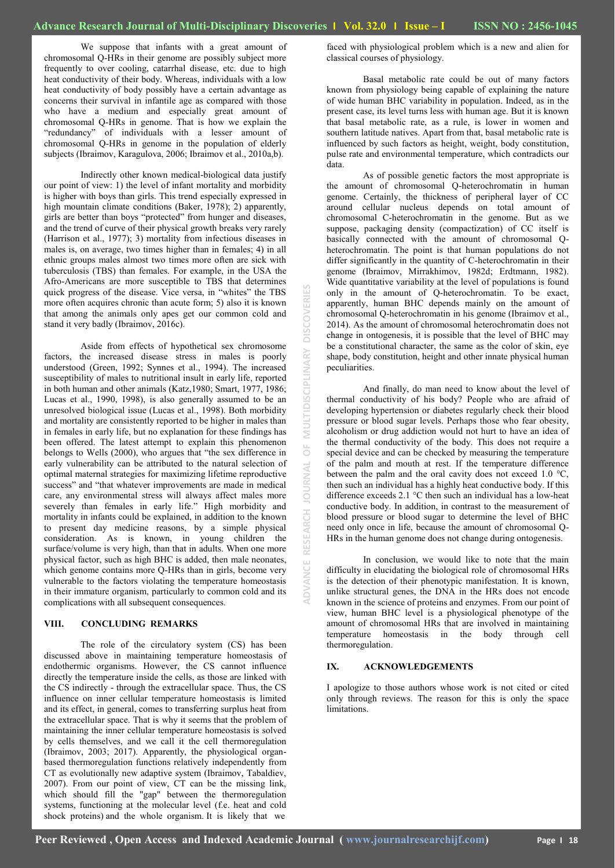We suppose that infants with a great amount of chromosomal Q-HRs in their genome are possibly subject more frequently to over cooling, catarrhal disease, etc. due to high heat conductivity of their body. Whereas, individuals with a low heat conductivity of body possibly have a certain advantage as concerns their survival in infantile age as compared with those who have a medium and especially great amount of chromosomal Q-HRs in genome. That is how we explain the "redundancy" of individuals with a lesser amount of chromosomal Q-HRs in genome in the population of elderly subjects (Ibraimov, Karagulova, 2006; Ibraimov et al., 2010a,b).

Indirectly other known medical-biological data justify our point of view: 1) the level of infant mortality and morbidity is higher with boys than girls. This trend especially expressed in high mountain climate conditions (Baker, 1978); 2) apparently, girls are better than boys "protected" from hunger and diseases, and the trend of curve of their physical growth breaks very rarely (Harrison et al., 1977); 3) mortality from infectious diseases in males is, on average, two times higher than in females; 4) in all ethnic groups males almost two times more often are sick with tuberculosis (TBS) than females. For example, in the USA the Afro-Americans are more susceptible to TBS that determines quick progress of the disease. Vice versa, in "whites" the TBS more often acquires chronic than acute form; 5) also it is known that among the animals only apes get our common cold and stand it very badly (Ibraimov, 2016c).

Aside from effects of hypothetical sex chromosome factors, the increased disease stress in males is poorly understood (Green, 1992; Synnes et al., 1994). The increased susceptibility of males to nutritional insult in early life, reported in both human and other animals (Katz,1980; Smart, 1977, 1986; Lucas et al., 1990, 1998), is also generally assumed to be an unresolved biological issue (Lucas et al., 1998). Both morbidity and mortality are consistently reported to be higher in males than in females in early life, but no explanation for these findings has been offered. The latest attempt to explain this phenomenon belongs to Wells (2000), who argues that "the sex difference in early vulnerability can be attributed to the natural selection of optimal maternal strategies for maximizing lifetime reproductive success" and "that whatever improvements are made in medical care, any environmental stress will always affect males more severely than females in early life." High morbidity and mortality in infants could be explained, in addition to the known to present day medicine reasons, by a simple physical consideration. As is known, in young children the surface/volume is very high, than that in adults. When one more physical factor, such as high BHC is added, then male neonates, which genome contains more Q-HRs than in girls, become very vulnerable to the factors violating the temperature homeostasis in their immature organism, particularly to common cold and its complications with all subsequent consequences.

#### **VIII. CONCLUDING REMARKS**

The role of the circulatory system (CS) has been discussed above in maintaining temperature homeostasis of endothermic organisms. However, the CS cannot influence directly the temperature inside the cells, as those are linked with the CS indirectly - through the extracellular space. Thus, the CS influence on inner cellular temperature homeostasis is limited and its effect, in general, comes to transferring surplus heat from the extracellular space. That is why it seems that the problem of maintaining the inner cellular temperature homeostasis is solved by cells themselves, and we call it the cell thermoregulation (Ibraimov, 2003; 2017). Apparently, the physiological organbased thermoregulation functions relatively independently from CT as evolutionally new adaptive system (Ibraimov, Tabaldiev, 2007). From our point of view, CT can be the missing link, which should fill the "gap" between the thermoregulation systems, functioning at the molecular level (f.e. heat and cold shock proteins) and the whole organism. It is likely that we

faced with physiological problem which is a new and alien for classical courses of physiology.

Basal metabolic rate could be out of many factors known from physiology being capable of explaining the nature of wide human BHC variability in population. Indeed, as in the present case, its level turns less with human age. But it is known that basal metabolic rate, as a rule, is lower in women and southern latitude natives. Apart from that, basal metabolic rate is influenced by such factors as height, weight, body constitution, pulse rate and environmental temperature, which contradicts our data.

As of possible genetic factors the most appropriate is the amount of chromosomal Q-heterochromatin in human genome. Certainly, the thickness of peripheral layer of CC around cellular nucleus depends on total amount of chromosomal C-heterochromatin in the genome. But as we suppose, packaging density (compactization) of CC itself is basically connected with the amount of chromosomal Qheterochromatin. The point is that human populations do not differ significantly in the quantity of C-heterochromatin in their genome (Ibraimov, Mirrakhimov, 1982d; Erdtmann, 1982). Wide quantitative variability at the level of populations is found only in the amount of Q-heterochromatin. To be exact, apparently, human BHC depends mainly on the amount of chromosomal Q-heterochromatin in his genome (Ibraimov et al., 2014). As the amount of chromosomal heterochromatin does not change in ontogenesis, it is possible that the level of BHC may be a constitutional character, the same as the color of skin, eye shape, body constitution, height and other innate physical human peculiarities.

And finally, do man need to know about the level of thermal conductivity of his body? People who are afraid of developing hypertension or diabetes regularly check their blood pressure or blood sugar levels. Perhaps those who fear obesity, alcoholism or drug addiction would not hurt to have an idea of the thermal conductivity of the body. This does not require a special device and can be checked by measuring the temperature of the palm and mouth at rest. If the temperature difference between the palm and the oral cavity does not exceed 1.0 °C, then such an individual has a highly heat conductive body. If this difference exceeds 2.1 °C then such an individual has a low-heat conductive body. In addition, in contrast to the measurement of blood pressure or blood sugar to determine the level of BHC need only once in life, because the amount of chromosomal Q-HRs in the human genome does not change during ontogenesis.

In conclusion, we would like to note that the main difficulty in elucidating the biological role of chromosomal HRs is the detection of their phenotypic manifestation. It is known, unlike structural genes, the DNA in the HRs does not encode known in the science of proteins and enzymes. From our point of view, human BHC level is a physiological phenotype of the amount of chromosomal HRs that are involved in maintaining temperature homeostasis in the body through cell thermoregulation.

## **IX. ACKNOWLEDGEMENTS**

I apologize to those authors whose work is not cited or cited only through reviews. The reason for this is only the space **limitations** 

**ADVANCE RESEARCH JOURNAL OF MULTIDISCIPLINARY DISCOVERIES**

 $\overline{0}$ 

**IRNAL** nor

RESEARCH

**ANCE** 

**LINN** 

OVERI

DISC

TIDISCIPLINARY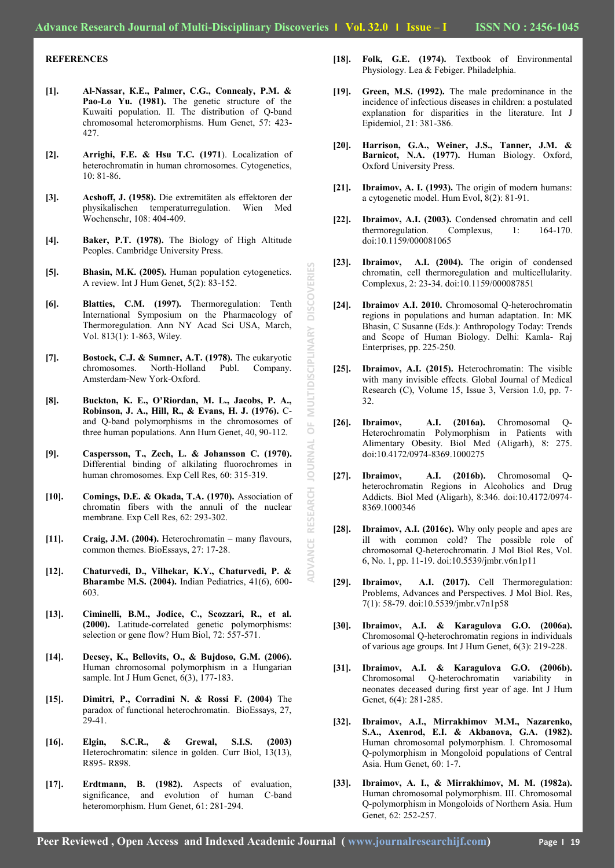$\overline{0}$ 

JOURNAL

RESEARCH

**ADVANCE** 

MULTIDISCIPLINARY

**DISCOVERIES** 

#### **REFERENCES**

- **[1]. Al-Nassar, К.Е., Palmer, С.G., Connealy, P.М. &**  Pao-Lo Yu. (1981). The genetic structure of the Kuwaiti population. II. The distribution of Q-band chromosomal heteromorphisms. Нum Genet, 57: 423- 427.
- **[2]. Arrighi, F.Е. & Hsu Т.С. (1971**). Localization of heterochromatin in human chromosomes. Cytogenetics, 10: 81-86.
- **[3]. Acshoff, J. (1958).** Die extremitäten als effektoren der physikalischen temperaturregulation. Wien Med Wochenschr, 108: 404-409.
- **[4]. Baker, P.Т. (1978).** The Biology of High Altitude Peoples. Cambridge University Press.
- **[5]. Bhasin, M.K. (2005).** Human population cytogenetics. A review. Int J Hum Genet, 5(2): 83-152.
- **[6]. Blatties, C.M. (1997).** Thermoregulation: Tenth International Symposium on the Pharmacology of Thermoregulation. Ann NY Acad Sci USA, March, Vol. 813(1): 1-863, Wiley.
- **[7]. Bostock, С.J. & Sumner, А.Т. (1978).** The eukaryotic chromosomes. North-Holland Publ. Company. Amsterdam-New York-Oxford.
- **[8]. Buckton, K. E., O'Riordan, M. L., Jacobs, P. A., Robinson, J. A., Hill, R., & Evans, H. J. (1976).** Cand Q-band polymorphisms in the chromosomes of three human populations. Ann Hum Genet, 40, 90-112.
- **[9]. Caspersson, Т., Zech, L. & Johansson С. (1970).**  Differential binding of alkilating fluorochromes in human chromosomes. Ехр Cell Res, 60: 315-319.
- **[10]. Comings, D.E. & Okada, T.A. (1970).** Association of chromatin fibers with the annuli of the nuclear membrane. Exp Cell Res, 62: 293-302.
- **[11]. Craig, J.M. (2004).** Heterochromatin many flavours, common themes. BioEssays, 27: 17-28.
- **[12]. Chaturvedi, D., Vilhekar, K.Y., Chaturvedi, P. & Bharambe M.S. (2004).** Indian Pediatrics, 41(6), 600- 603.
- **[13]. Ciminelli, В.М., Jodice, С., Scozzari, R., et al. (2000).** Latitude-correlated genetic polymorphisms: selection or gene flow? Hum Biol, 72: 557-571.
- **[14]. Decsey, K., Bellovits, O., & Bujdoso, G.M. (2006).**  Human chromosomal polymorphism in a Hungarian sample. Int J Hum Genet, 6(3), 177-183.
- **[15]. Dimitri, P., Corradini N. & Rossi F. (2004)** The paradox of functional heterochromatin. BioEssays, 27, 29-41.
- **[16]. Elgin, S.C.R., & Grewal, S.I.S. (2003)**  Heterochromatin: silence in golden. Curr Biol, 13(13), R895- R898.
- **[17]. Erdtmann, В. (1982).** Aspects of evaluation, significance, and evolution of human С-band heteromorphism. Нum Genet, 61: 281-294.
- **[18]. Folk, G.E. (1974).** Textbook оf Environmental Physiology. Lea & Febiger. Philadelphia.
- **[19]. Green, M.S. (1992).** The male predominance in the incidence of infectious diseases in children: a postulated explanation for disparities in the literature. Int J Epidemiol, 21: 381-386.
- **[20]. Harrison, G.А., Weiner, J.S., Tanner, J.М. & Barnicot, N.А. (1977).** Human Biology. Oxford, Oxford University Press.
- **[21]. Ibraimov, А. I. (1993).** The origin of modern humans: а cytogenetic model. Нum Evol, 8(2): 81-91.
- **[22]. Ibraimov, A.I. (2003).** Condensed chromatin and cell thermoregulation. Complexus, 1: 164-170. doi:10.1159/000081065
- **[23]. Ibraimov, A.I. (2004).** The origin of condensed chromatin, cell thermoregulation and multicellularity. Complexus, 2: 23-34. doi:10.1159/000087851
- **[24]. Ibraimov A.I. 2010.** Chromosomal Q-heterochromatin regions in populations and human adaptation. In: MK Bhasin, C Susanne (Eds.): Anthropology Today: Trends and Scope of Human Biology. Delhi: Kamla- Raj Enterprises, pp. 225-250.
- **[25]. Ibraimov, A.I. (2015).** Heterochromatin: The visible with many invisible effects. Global Journal of Medical Research (C), Volume 15, Issue 3, Version 1.0, pp. 7- 32.
- **[26]. Ibraimov, A.I. (2016a).** Chromosomal Q-Heterochromatin Polymorphism in Patients with Alimentary Obesity. Biol Med (Aligarh), 8: 275. doi:10.4172/0974-8369.1000275
- **[27]. Ibraimov, A.I. (2016b).** Chromosomal Qheterochromatin Regions in Alcoholics and Drug Addicts. Biol Med (Aligarh), 8:346. doi:10.4172/0974- 8369.1000346
- **[28]. Ibraimov, A.I. (2016c).** Why only people and apes are ill with common cold? The possible role of chromosomal Q-heterochromatin. J Mol Biol Res, Vol. 6, No. 1, pp. 11-19. doi:10.5539/jmbr.v6n1p11
- **[29]. Ibraimov, A.I. (2017).** Cell Thermoregulation: Problems, Advances and Perspectives. J Mol Biol. Res, 7(1): 58-79. doi:10.5539/jmbr.v7n1p58
- **[30]. Ibraimov, A.I. & Karagulova G.O. (2006a).** Chromosomal Q-heterochromatin regions in individuals of various age groups. Int J Hum Genet, 6(3): 219-228.
- **[31]. Ibraimov, A.I. & Karagulova G.O. (2006b).** Chromosomal Q-heterochromatin variability in neonates deсeased during first year of age. Int J Hum Genet, 6(4): 281-285.
- **[32]. Ibraimov, А.I., Mirrakhimov М.М., Nazarenko, S.А., Axenrod, Е.I. & Akbanova, G.А. (1982).** Нuman chromosomal polymorphism. I. Chromosomal Q-polymorphism in Mongoloid populations of Central Asia. Hum Genet, 60: 1-7.
- **[33]. Ibraimov, А. I., & Mirrakhimov, М. М. (1982a).** Human chromosomal polymorphism. III. Chromosomal Q-polymorphism in Mongoloids of Northern Asia. Hum Genet, 62: 252-257.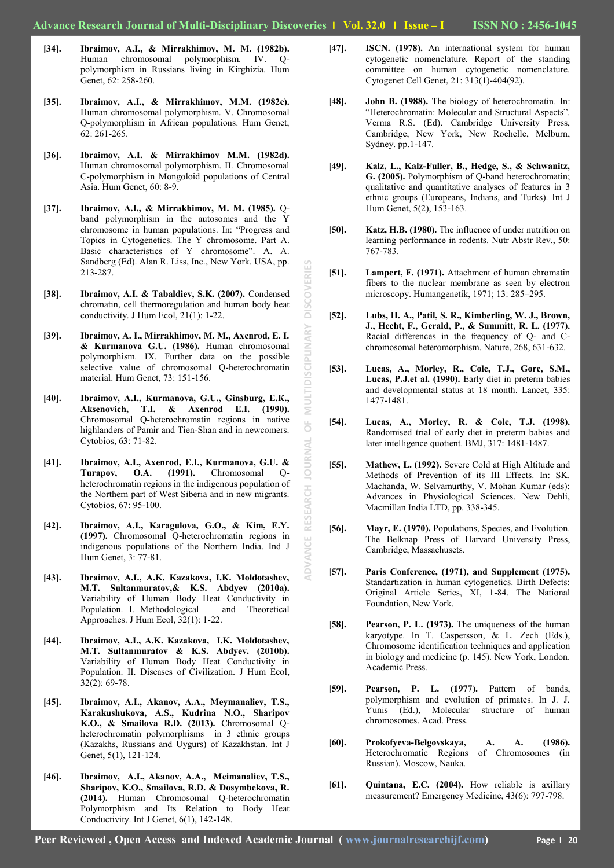- **[34]. Ibraimov, А.I., & Mirrakhimov, М. М. (1982b).** Human chromosomal polymorphism. IV. Qpolymorphism in Russians living in Kirghizia. Hum Genet, 62: 258-260.
- **[35]. Ibraimov, А.I., & Mirrakhimov, М.М. (1982c).** Human chromosomal polymorphism. V. Chromosomal Q-polymorphism in African populations. Hum Genet, 62: 261-265.
- **[36]. Ibraimov, А.I. & Mirrakhimov М.М. (1982d).**  Human chromosomal polymorphism. II. Chromosomal С-polymorphism in Mongoloid populations of Central Asia. Hum Genet, 60: 8-9.
- **[37]. Ibraimov, А.I., & Mirrakhimov, М. М. (1985).** Qband polymorphism in the autosomes and the Y chromosome in human populations. In: "Progress and Topics in Cytogenetics. The Y chromosome. Part А. Basic characteristics of Y chromosome". А. А. Sandberg (Ed). Alan R. Liss, Inc., New York. USA, pp. 213-287.
- **[38]. Ibraimov, A.I. & Tabaldiev, S.K. (2007).** Condensed chromatin, cell thermoregulation and human body heat conductivity. J Hum Ecol, 21(1): 1-22.
- **[39]. Ibraimov, А. I., Mirrakhimov, М. М., Axenrod, Е. I. & Kurmanova G.U. (1986).** Human chromosomal polymorphism. IX. Further data on the possible selective value of chromosomal Q-heterochromatin material. Hum Genet, 73: 151-156.
- **[40]. Ibraimov, А.I., Kurmanova, G.U., Ginsburg, Е.К., Aksenovich, T.I. & Axenrod Е.I. (1990).**  Chromosomal Q-heterochromatin regions in native highlanders of Pamir and Tien-Shan and in newcomers. Cytobios, 63: 71-82.
- **[41]. Ibraimov, А.I., Axenrod, Е.I., Kurmanova, G.U. &**  Turapov, O.A. (1991). Chromosomal heterochromatin regions in the indigenous population of the Northern part of West Siberia and in new migrants. Cytobios, 67: 95-100.
- **[42]. Ibraimov, A.I., Karagulova, G.O., & Kim, E.Y. (1997).** Chromosomal Q-heterochromatin regions in indigenous populations of the Northern India. Ind J Hum Genet, 3: 77-81.
- **[43]. Ibraimov, A.I., A.K. Kazakova, I.K. Moldotashev, M.T. Sultanmuratov,& K.S. Abdyev (2010a).** Variability of Human Body Heat Conductivity in Population. I. Methodological and Theoretical Approaches. J Hum Ecol, 32(1): 1-22.
- **[44]. Ibraimov, A.I., A.K. Kazakova, I.K. Moldotashev, M.T. Sultanmuratov & K.S. Abdyev. (2010b).** Variability of Human Body Heat Conductivity in Population. II. Diseases of Civilization. J Hum Ecol, 32(2): 69-78.
- **[45]. Ibraimov, A.I., Akanov, A.A., Meymanaliev, T.S., Karakushukova, A.S., Kudrina N.O., Sharipov K.O., & Smailova R.D. (2013).** Chromosomal Qheterochromatin polymorphisms in 3 ethnic groups (Kazakhs, Russians and Uygurs) of Kazakhstan. Int J Genet, 5(1), 121-124.
- **[46]. Ibraimov, A.I., Akanov, A.A., Meimanaliev, T.S., Sharipov, K.O., Smailova, R.D. & Dosymbekova, R. (2014).** Human Chromosomal Q-heterochromatin Polymorphism and Its Relation to Body Heat Conductivity. Int J Genet, 6(1), 142-148.
- **[47]. ISCN. (1978).** An international system for human cytogenetic nomenclature. Report of the standing committee on human cytogenetic nomenclature. Cytogenet Cell Genet, 21: 313(1)-404(92).
- **[48]. John В. (1988).** The biology оf heterochromatin. In: "Heterochromatin: Molecular and Structural Aspects". Verma R.S. (Ed). Cambridge University Press, Cambridge, New York, New Rochelle, Melburn, Sydney. рр.1-147.
- **[49]. Kalz, L., Kalz-Fuller, В., Hedge, S., & Schwanitz, G. (2005).** Polymorphism of Q-band heterochromatin; qualitative and quantitative analyses of features in 3 ethnic groups (Europeans, Indians, and Turks). Int J Hum Genet, 5(2), 153-163.
- **[50]. Katz, H.B. (1980).** The influence of under nutrition on learning performance in rodents. Nutr Abstr Rev., 50: 767-783.
- **[51]. Lampert, F. (1971).** Attachment of human chromatin fibers to the nuclear membrane as seen by electron microscopy. Humangenetik, 1971; 13: 285–295.
- **[52]. Lubs, H. A., Patil, S. R., Kimberling, W. J., Brown, J., Hecht, F., Gerald, P., & Summitt, R. L. (1977).** Racial differences in the frequency of Q- and Cchromosomal heteromorphism. Nature, 268, 631-632.
- **[53]. Lucas, A., Morley, R., Cole, T.J., Gore, S.M., Lucas, P.J.et al. (1990).** Early diet in preterm babies and developmental status at 18 month. Lancet, 335: 1477-1481.
- **[54]. Lucas, A., Morley, R. & Cole, T.J. (1998).**  Randomised trial of early diet in preterm babies and later intelligence quotient. BMJ, 317: 1481-1487.
- **[55]. Mathew, L. (1992).** Severe Cold at High Altitude and Methods of Prevention of its III Effects. In: SK. Machanda, W. Selvamurthy, V. Mohan Kumar (eds): Advances in Physiological Sciences. New Dehli, Macmillan India LTD, pp. 338-345.
- **[56]. Mayr, E. (1970).** Populations, Species, and Evolution. The Belknap Press of Harvard University Press, Cambridge, Massachusets.
- **[57]. Paris Conference, (1971), and Supplement (1975).** Standartization in human cytogenetics. Birth Defects: Original Article Series, XI, 1-84. The National Foundation, New York.
- **[58]. Pearson, P. L. (1973).** The uniqueness of the human karyotype. In Т. Caspersson, & L. Zech (Eds.), Chromosome identification techniques and application in biology and medicine (p. 145). New York, London. Academic Press.
- **[59]. Pearson, P. L. (1977).** Pattern of bands, polymorphism and evolution of primates. In J. J. Yunis (Ed.), Molecular structure of human chromosomes. Acad. Press.
- **[60]. Prokofyeva-Belgovskaya, A. A. (1986).** Heterochromatic Regions of Chromosomes (in Russian). Moscow, Nauka.
- **[61]. Quintana, E.C. (2004).** How reliable is axillary measurement? Emergency Medicine, 43(6): 797-798.

 $\frac{1}{\sqrt{2}}$ 

**JOURNAL** 

**ARCH** 

**RESE** 

ANCE

MULTID

**DISCOVERIES** 

SCIPLINARY